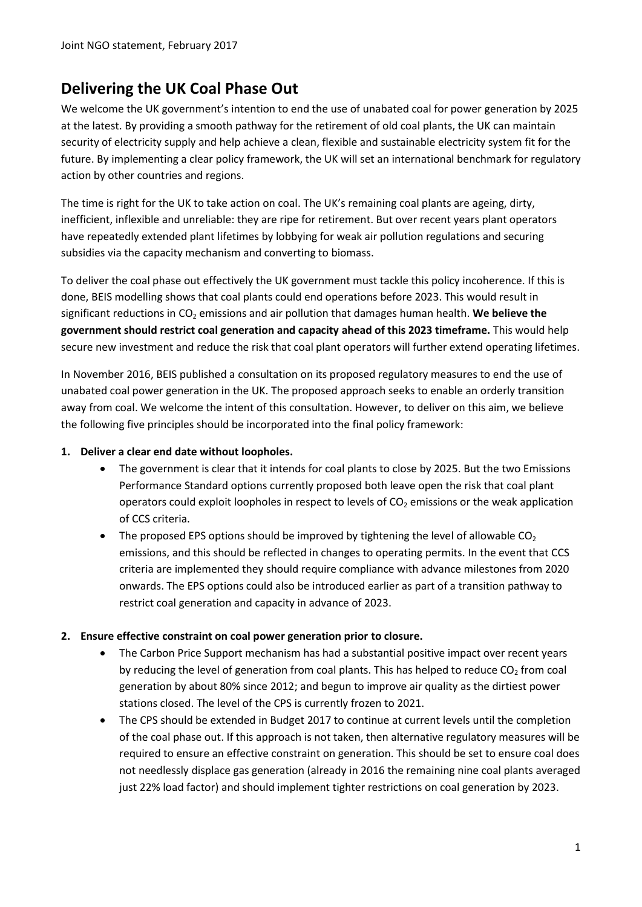# **Delivering the UK Coal Phase Out**

We welcome the UK government's intention to end the use of unabated coal for power generation by 2025 at the latest. By providing a smooth pathway for the retirement of old coal plants, the UK can maintain security of electricity supply and help achieve a clean, flexible and sustainable electricity system fit for the future. By implementing a clear policy framework, the UK will set an international benchmark for regulatory action by other countries and regions.

The time is right for the UK to take action on coal. The UK's remaining coal plants are ageing, dirty, inefficient, inflexible and unreliable: they are ripe for retirement. But over recent years plant operators have repeatedly extended plant lifetimes by lobbying for weak air pollution regulations and securing subsidies via the capacity mechanism and converting to biomass.

To deliver the coal phase out effectively the UK government must tackle this policy incoherence. If this is done, BEIS modelling shows that coal plants could end operations before 2023. This would result in significant reductions in CO<sub>2</sub> emissions and air pollution that damages human health. We believe the **government should restrict coal generation and capacity ahead of this 2023 timeframe.** This would help secure new investment and reduce the risk that coal plant operators will further extend operating lifetimes.

In November 2016, BEIS published a consultation on its proposed regulatory measures to end the use of unabated coal power generation in the UK. The proposed approach seeks to enable an orderly transition away from coal. We welcome the intent of this consultation. However, to deliver on this aim, we believe the following five principles should be incorporated into the final policy framework:

## **1. Deliver a clear end date without loopholes.**

- The government is clear that it intends for coal plants to close by 2025. But the two Emissions Performance Standard options currently proposed both leave open the risk that coal plant operators could exploit loopholes in respect to levels of  $CO<sub>2</sub>$  emissions or the weak application of CCS criteria.
- The proposed EPS options should be improved by tightening the level of allowable  $CO<sub>2</sub>$ emissions, and this should be reflected in changes to operating permits. In the event that CCS criteria are implemented they should require compliance with advance milestones from 2020 onwards. The EPS options could also be introduced earlier as part of a transition pathway to restrict coal generation and capacity in advance of 2023.

## **2. Ensure effective constraint on coal power generation prior to closure.**

- The Carbon Price Support mechanism has had a substantial positive impact over recent years by reducing the level of generation from coal plants. This has helped to reduce  $CO<sub>2</sub>$  from coal generation by about 80% since 2012; and begun to improve air quality as the dirtiest power stations closed. The level of the CPS is currently frozen to 2021.
- The CPS should be extended in Budget 2017 to continue at current levels until the completion of the coal phase out. If this approach is not taken, then alternative regulatory measures will be required to ensure an effective constraint on generation. This should be set to ensure coal does not needlessly displace gas generation (already in 2016 the remaining nine coal plants averaged just 22% load factor) and should implement tighter restrictions on coal generation by 2023.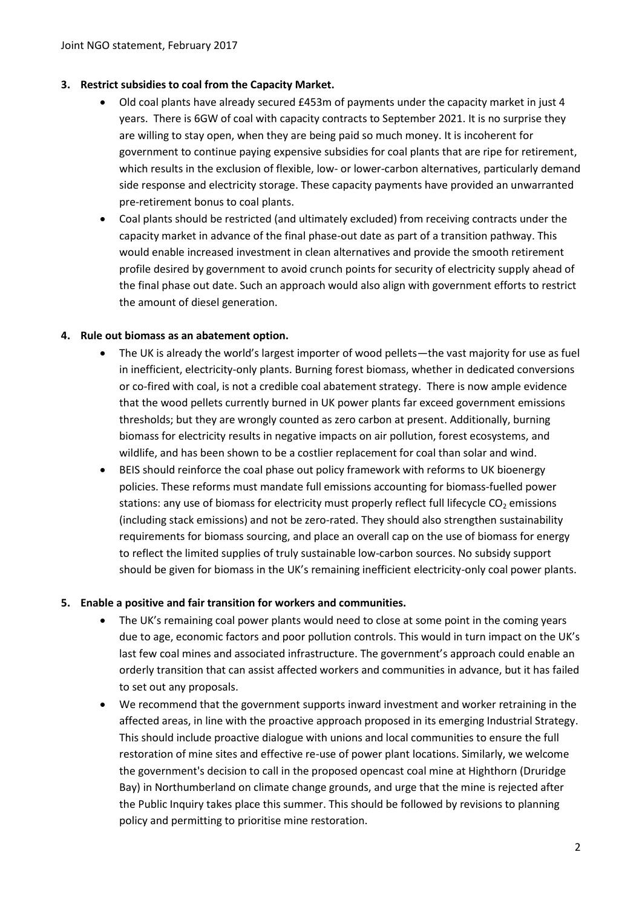### **3. Restrict subsidies to coal from the Capacity Market.**

- Old coal plants have already secured £453m of payments under the capacity market in just 4 years. There is 6GW of coal with capacity contracts to September 2021. It is no surprise they are willing to stay open, when they are being paid so much money. It is incoherent for government to continue paying expensive subsidies for coal plants that are ripe for retirement, which results in the exclusion of flexible, low- or lower-carbon alternatives, particularly demand side response and electricity storage. These capacity payments have provided an unwarranted pre-retirement bonus to coal plants.
- Coal plants should be restricted (and ultimately excluded) from receiving contracts under the capacity market in advance of the final phase-out date as part of a transition pathway. This would enable increased investment in clean alternatives and provide the smooth retirement profile desired by government to avoid crunch points for security of electricity supply ahead of the final phase out date. Such an approach would also align with government efforts to restrict the amount of diesel generation.

### **4. Rule out biomass as an abatement option.**

- The UK is already the world's largest importer of wood pellets—the vast majority for use as fuel in inefficient, electricity-only plants. Burning forest biomass, whether in dedicated conversions or co-fired with coal, is not a credible coal abatement strategy. There is now ample evidence that the wood pellets currently burned in UK power plants far exceed government emissions thresholds; but they are wrongly counted as zero carbon at present. Additionally, burning biomass for electricity results in negative impacts on air pollution, forest ecosystems, and wildlife, and has been shown to be a costlier replacement for coal than solar and wind.
- BEIS should reinforce the coal phase out policy framework with reforms to UK bioenergy policies. These reforms must mandate full emissions accounting for biomass-fuelled power stations: any use of biomass for electricity must properly reflect full lifecycle CO<sub>2</sub> emissions (including stack emissions) and not be zero-rated. They should also strengthen sustainability requirements for biomass sourcing, and place an overall cap on the use of biomass for energy to reflect the limited supplies of truly sustainable low-carbon sources. No subsidy support should be given for biomass in the UK's remaining inefficient electricity-only coal power plants.

#### **5. Enable a positive and fair transition for workers and communities.**

- The UK's remaining coal power plants would need to close at some point in the coming years due to age, economic factors and poor pollution controls. This would in turn impact on the UK's last few coal mines and associated infrastructure. The government's approach could enable an orderly transition that can assist affected workers and communities in advance, but it has failed to set out any proposals.
- We recommend that the government supports inward investment and worker retraining in the affected areas, in line with the proactive approach proposed in its emerging Industrial Strategy. This should include proactive dialogue with unions and local communities to ensure the full restoration of mine sites and effective re-use of power plant locations. Similarly, we welcome the government's decision to call in the proposed opencast coal mine at Highthorn (Druridge Bay) in Northumberland on climate change grounds, and urge that the mine is rejected after the Public Inquiry takes place this summer. This should be followed by revisions to planning policy and permitting to prioritise mine restoration.